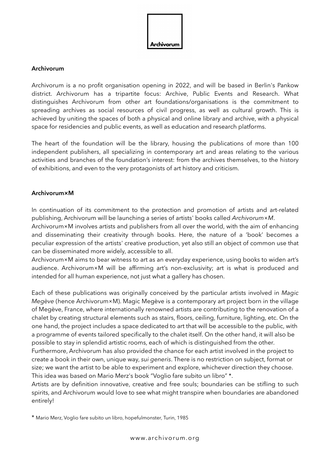

#### **Archivorum**

Archivorum is a no profit organisation opening in 2022, and will be based in Berlin's Pankow district. Archivorum has a tripartite focus: Archive, Public Events and Research. What distinguishes Archivorum from other art foundations/organisations is the commitment to spreading archives as social resources of civil progress, as well as cultural growth. This is achieved by uniting the spaces of both a physical and online library and archive, with a physical space for residencies and public events, as well as education and research platforms.

The heart of the foundation will be the library, housing the publications of more than 100 independent publishers, all specializing in contemporary art and areas relating to the various activities and branches of the foundation's interest: from the archives themselves, to the history of exhibitions, and even to the very protagonists of art history and criticism.

## **Archivorum×M**

In continuation of its commitment to the protection and promotion of artists and art-related publishing, Archivorum will be launching a series of artists' books called *Archivorum×M*.

Archivorum×M involves artists and publishers from all over the world, with the aim of enhancing and disseminating their creativity through books. Here, the nature of a 'book' becomes a peculiar expression of the artists' creative production, yet also still an object of common use that can be disseminated more widely, accessible to all.

Archivorum×M aims to bear witness to art as an everyday experience, using books to widen art's audience. Archivorum×M will be affirming art's non-exclusivity; art is what is produced and intended for all human experience, not just what a gallery has chosen.

Each of these publications was originally conceived by the particular artists involved in *Magic Megève* (hence Archivorum×M). Magic Megève is a contemporary art project born in the village of Megève, France, where internationally renowned artists are contributing to the renovation of a chalet by creating structural elements such as stairs, floors, ceiling, furniture, lighting, etc. On the one hand, the project includes a space dedicated to art that will be accessible to the public, with a programme of events tailored specifically to the chalet itself. On the other hand, it will also be possible to stay in splendid artistic rooms, each of which is distinguished from the other. Furthermore, Archivorum has also provided the chance for each artist involved in the project to

create a book in their own, unique way, *sui generis*. There is no restriction on subject, format or size; we want the artist to be able to experiment and explore, whichever direction they choose. This idea was based on Mario Merz's book "Voglio fare subito un libro" \*.

Artists are by definition innovative, creative and free souls; boundaries can be stifling to such spirits, and Archivorum would love to see what might transpire when boundaries are abandoned entirely!

\* Mario Merz, Voglio fare subito un libro, hopefulmonster, Turin, 1985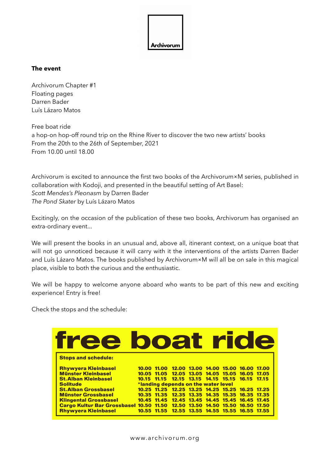

## **The event**

Archivorum Chapter #1 Floating pages Darren Bader Luís Lázaro Matos

Free boat ride a hop-on hop-off round trip on the Rhine River to discover the two new artists' books From the 20th to the 26th of September, 2021 From 10.00 until 18.00

Archivorum is excited to announce the first two books of the Archivorum×M series, published in collaboration with Kodoji, and presented in the beautiful setting of Art Basel: *Scott Mendes's Pleonasm* by Darren Bader *The Pond Skater* by Luís Lázaro Matos

Excitingly, on the occasion of the publication of these two books, Archivorum has organised an extra-ordinary event...

We will present the books in an unusual and, above all, itinerant context, on a unique boat that will not go unnoticed because it will carry with it the interventions of the artists Darren Bader and Luís Lázaro Matos. The books published by Archivorum×M will all be on sale in this magical place, visible to both the curious and the enthusiastic.

We will be happy to welcome anyone aboard who wants to be part of this new and exciting experience! Entry is free!

Check the stops and the schedule:

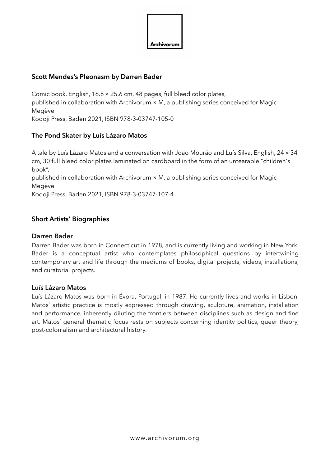

# **Scott Mendes's Pleonasm by Darren Bader**

Comic book, English, 16.8× 25.6 cm, 48 pages, full bleed color plates, published in collaboration with Archivorum × M, a publishing series conceived for Magic Megève Kodoji Press, Baden 2021, ISBN 978-3-03747-105-0

# **The Pond Skater by Luís Lázaro Matos**

A tale by Luís Lázaro Matos and a conversation with João Mourão and Luís Silva, English, 24× 34 cm, 30 full bleed color plates laminated on cardboard in the form of an untearable "children's book", published in collaboration with Archivorum × M, a publishing series conceived for Magic

Megève

Kodoji Press, Baden 2021, ISBN 978-3-03747-107-4

## **Short Artists' Biographies**

## **Darren Bader**

Darren Bader was born in Connecticut in 1978, and is currently living and working in New York. Bader is a conceptual artist who contemplates philosophical questions by intertwining contemporary art and life through the mediums of books, digital projects, videos, installations, and curatorial projects.

#### **Luís Lázaro Matos**

Luís Lázaro Matos was born in Évora, Portugal, in 1987. He currently lives and works in Lisbon. Matos' artistic practice is mostly expressed through drawing, sculpture, animation, installation and performance, inherently diluting the frontiers between disciplines such as design and fine art. Matos' general thematic focus rests on subjects concerning identity politics, queer theory, post-colonialism and architectural history.